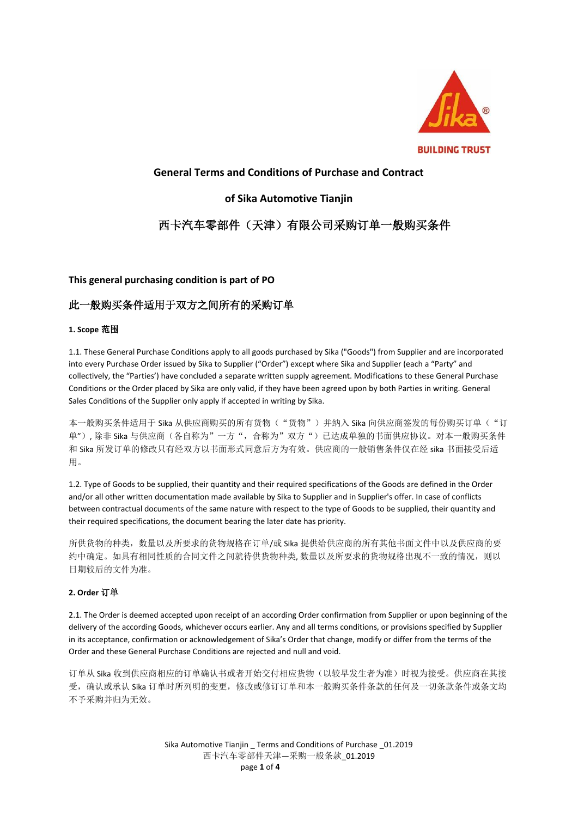

# **General Terms and Conditions of Purchase and Contract**

# **of Sika Automotive Tianjin**

# 西卡汽车零部件(天津)有限公司采购订单一般购买条件

## **This general purchasing condition is part of PO**

# 此一般购买条件适用于双方之间所有的采购订单

## **1. Scope** 范围

1.1. These General Purchase Conditions apply to all goods purchased by Sika ("Goods") from Supplier and are incorporated into every Purchase Order issued by Sika to Supplier ("Order") except where Sika and Supplier (each a "Party" and collectively, the "Parties') have concluded a separate written supply agreement. Modifications to these General Purchase Conditions or the Order placed by Sika are only valid, if they have been agreed upon by both Parties in writing. General Sales Conditions of the Supplier only apply if accepted in writing by Sika.

本一般购买条件适用于 Sika 从供应商购买的所有货物("货物")并纳入 Sika 向供应商签发的每份购买订单("订 单"), 除非 Sika 与供应商(各自称为"一方", 合称为"双方")已达成单独的书面供应协议。对本一般购买条件 和 Sika 所发订单的修改只有经双方以书面形式同意后方为有效。供应商的一般销售条件仅在经 sika 书面接受后适 用。

1.2. Type of Goods to be supplied, their quantity and their required specifications of the Goods are defined in the Order and/or all other written documentation made available by Sika to Supplier and in Supplier's offer. In case of conflicts between contractual documents of the same nature with respect to the type of Goods to be supplied, their quantity and their required specifications, the document bearing the later date has priority.

所供货物的种类,数量以及所要求的货物规格在订单/或 Sika 提供给供应商的所有其他书面文件中以及供应商的要 约中确定。如具有相同性质的合同文件之间就待供货物种类, 数量以及所要求的货物规格出现不一致的情况, 则以 日期较后的文件为准。

## **2. Order** 订单

2.1. The Order is deemed accepted upon receipt of an according Order confirmation from Supplier or upon beginning of the delivery of the according Goods, whichever occurs earlier. Any and all terms conditions, or provisions specified by Supplier in its acceptance, confirmation or acknowledgement of Sika's Order that change, modify or differ from the terms of the Order and these General Purchase Conditions are rejected and null and void.

订单从 Sika 收到供应商相应的订单确认书或者开始交付相应货物(以较早发生者为准)时视为接受。供应商在其接 受,确认或承认 Sika 订单时所列明的变更,修改或修订订单和本一般购买条件条款的任何及一切条款条件或条文均 不予采购并归为无效。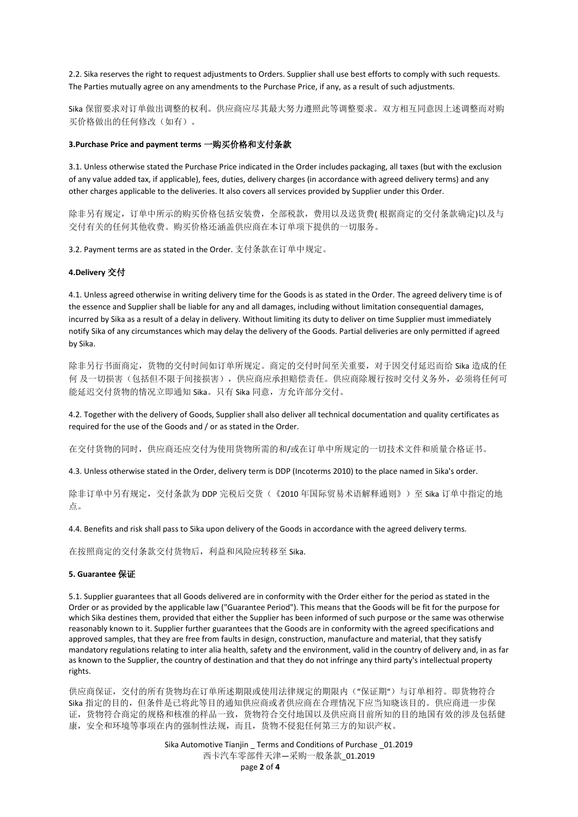2.2. Sika reserves the right to request adjustments to Orders. Supplier shall use best efforts to comply with such requests. The Parties mutually agree on any amendments to the Purchase Price, if any, as a result of such adjustments.

Sika 保留要求对订单做出调整的权利。供应商应尽其最大努力遵照此等调整要求。双方相互同意因上述调整而对购 买价格做出的任何修改(如有)。

#### **3.Purchase Price and payment terms** 一购买价格和支付条款

3.1. Unless otherwise stated the Purchase Price indicated in the Order includes packaging, all taxes (but with the exclusion of any value added tax, if applicable), fees, duties, delivery charges (in accordance with agreed delivery terms) and any other charges applicable to the deliveries. It also covers all services provided by Supplier under this Order.

除非另有规定,订单中所示的购买价格包括安装费,全部税款,费用以及送货费( 根据商定的交付条款确定)以及与 交付有关的任何其他收费。购买价格还涵盖供应商在本订单项下提供的一切服务。

3.2. Payment terms are as stated in the Order. 支付条款在订单中规定。

#### **4.Delivery** 交付

4.1. Unless agreed otherwise in writing delivery time for the Goods is as stated in the Order. The agreed delivery time is of the essence and Supplier shall be liable for any and all damages, including without limitation consequential damages, incurred by Sika as a result of a delay in delivery. Without limiting its duty to deliver on time Supplier must immediately notify Sika of any circumstances which may delay the delivery of the Goods. Partial deliveries are only permitted if agreed by Sika.

除非另行书面商定,货物的交付时间如订单所规定。商定的交付时间至关重要,对于因交付延迟而给 Sika 造成的任 何 及一切损害(包括但不限于间接损害),供应商应承担赔偿责任。供应商除履行按时交付义务外,必须将任何可 能延迟交付货物的情况立即通知 Sika。只有 Sika 同意,方允许部分交付。

4.2. Together with the delivery of Goods, Supplier shall also deliver all technical documentation and quality certificates as required for the use of the Goods and / or as stated in the Order.

在交付货物的同时,供应商还应交付为使用货物所需的和/或在订单中所规定的一切技术文件和质量合格证书。

4.3. Unless otherwise stated in the Order, delivery term is DDP (Incoterms 2010) to the place named in Sika's order.

除非订单中另有规定,交付条款为 DDP 完税后交货(《2010 年国际贸易术语解释通则》)至 Sika 订单中指定的地 点。

4.4. Benefits and risk shall pass to Sika upon delivery of the Goods in accordance with the agreed delivery terms.

在按照商定的交付条款交付货物后,利益和风险应转移至 Sika.

#### **5. Guarantee** 保证

5.1. Supplier guarantees that all Goods delivered are in conformity with the Order either for the period as stated in the Order or as provided by the applicable law ("Guarantee Period"). This means that the Goods will be fit for the purpose for which Sika destines them, provided that either the Supplier has been informed of such purpose or the same was otherwise reasonably known to it. Supplier further guarantees that the Goods are in conformity with the agreed specifications and approved samples, that they are free from faults in design, construction, manufacture and material, that they satisfy mandatory regulations relating to inter alia health, safety and the environment, valid in the country of delivery and, in as far as known to the Supplier, the country of destination and that they do not infringe any third party's intellectual property rights.

供应商保证,交付的所有货物均在订单所述期限或使用法律规定的期限内("保证期")与订单相符。即货物符合 Sika 指定的目的,但条件是已将此等目的通知供应商或者供应商在合理情况下应当知晓该目的。供应商进一步保 证,货物符合商定的规格和核准的样品一致,货物符合交付地国以及供应商目前所知的目的地国有效的涉及包括健 康,安全和环境等事项在内的强制性法规,而且,货物不侵犯任何第三方的知识产权。

> Sika Automotive Tianjin \_ Terms and Conditions of Purchase \_01.2019 西卡汽车零部件天津—采购一般条款\_01.2019 page **2** of **4**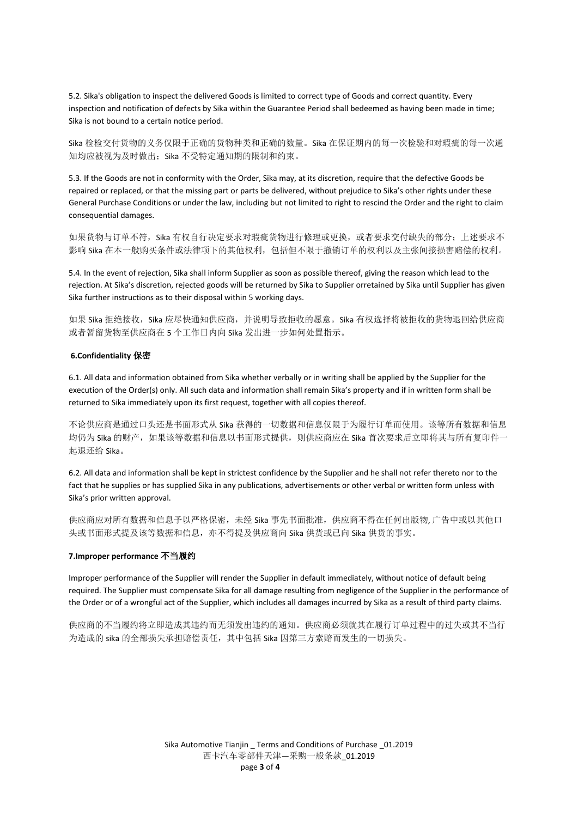5.2. Sika's obligation to inspect the delivered Goods is limited to correct type of Goods and correct quantity. Every inspection and notification of defects by Sika within the Guarantee Period shall bedeemed as having been made in time; Sika is not bound to a certain notice period.

Sika 检检交付货物的义务仅限于正确的货物种类和正确的数量。Sika 在保证期内的每一次检验和对瑕疵的每一次通 知均应被视为及时做出; Sika 不受特定通知期的限制和约束。

5.3. If the Goods are not in conformity with the Order, Sika may, at its discretion, require that the defective Goods be repaired or replaced, or that the missing part or parts be delivered, without prejudice to Sika's other rights under these General Purchase Conditions or under the law, including but not limited to right to rescind the Order and the right to claim consequential damages.

如果货物与订单不符, Sika 有权自行决定要求对瑕疵货物进行修理或更换, 或者要求交付缺失的部分; 上述要求不 影响 Sika 在本一般购买条件或法律项下的其他权利,包括但不限于撤销订单的权利以及主张间接损害赔偿的权利。

5.4. In the event of rejection, Sika shall inform Supplier as soon as possible thereof, giving the reason which lead to the rejection. At Sika's discretion, rejected goods will be returned by Sika to Supplier orretained by Sika until Supplier has given Sika further instructions as to their disposal within 5 working days.

如果 Sika 拒绝接收, Sika 应尽快通知供应商, 并说明导致拒收的愿意。Sika 有权选择将被拒收的货物退回给供应商 或者暂留货物至供应商在 5 个工作日内向 Sika 发出进一步如何处置指示。

#### **6.Confidentiality** 保密

6.1. All data and information obtained from Sika whether verbally or in writing shall be applied by the Supplier for the execution of the Order(s) only. All such data and information shall remain Sika's property and if in written form shall be returned to Sika immediately upon its first request, together with all copies thereof.

不论供应商是通过口头还是书面形式从 Sika 获得的一切数据和信息仅限于为履行订单而使用。该等所有数据和信息 均仍为 Sika 的财产,如果该等数据和信息以书面形式提供,则供应商应在 Sika 首次要求后立即将其与所有复印件一 起退还给 Sika。

6.2. All data and information shall be kept in strictest confidence by the Supplier and he shall not refer thereto nor to the fact that he supplies or has supplied Sika in any publications, advertisements or other verbal or written form unless with Sika's prior written approval.

供应商应对所有数据和信息予以严格保密,未经 Sika 事先书面批准,供应商不得在任何出版物, 广告中或以其他口 头或书面形式提及该等数据和信息,亦不得提及供应商向 Sika 供货或已向 Sika 供货的事实。

#### **7.Improper performance** 不当履约

Improper performance of the Supplier will render the Supplier in default immediately, without notice of default being required. The Supplier must compensate Sika for all damage resulting from negligence of the Supplier in the performance of the Order or of a wrongful act of the Supplier, which includes all damages incurred by Sika as a result of third party claims.

供应商的不当履约将立即造成其违约而无须发出违约的通知。供应商必须就其在履行订单过程中的过失或其不当行 为造成的 sika 的全部损失承担赔偿责任,其中包括 Sika 因第三方索赔而发生的一切损失。